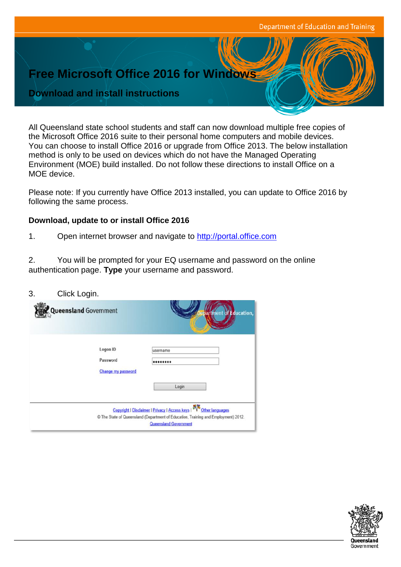## **Free Microsoft Office 2016 for Windows**

## **Download and install instructions**

All Queensland state school students and staff can now download multiple free copies of the Microsoft Office 2016 suite to their personal home computers and mobile devices. You can choose to install Office 2016 or upgrade from Office 2013. The below installation method is only to be used on devices which do not have the Managed Operating Environment (MOE) build installed. Do not follow these directions to install Office on a MOE device.

Please note: If you currently have Office 2013 installed, you can update to Office 2016 by following the same process.

## **Download, update to or install Office 2016**

1. Open internet browser and navigate to [http://portal.office.com](http://portal.office.com/)

2. You will be prompted for your EQ username and password on the online authentication page. **Type** your username and password.

| 3. | Click Login.                               |                                                                                                                                                                                                |
|----|--------------------------------------------|------------------------------------------------------------------------------------------------------------------------------------------------------------------------------------------------|
|    | <b>Queensland Government</b>               | artment of Education,                                                                                                                                                                          |
|    | Logon ID<br>Password<br>Change my password | usemame<br><br>Login                                                                                                                                                                           |
|    |                                            | 不<br>Copyright   Disclaimer   Privacy   Access keys  <br>Other languages<br>© The State of Queensland (Department of Education, Training and Employment) 2012.<br><b>Queensland Government</b> |

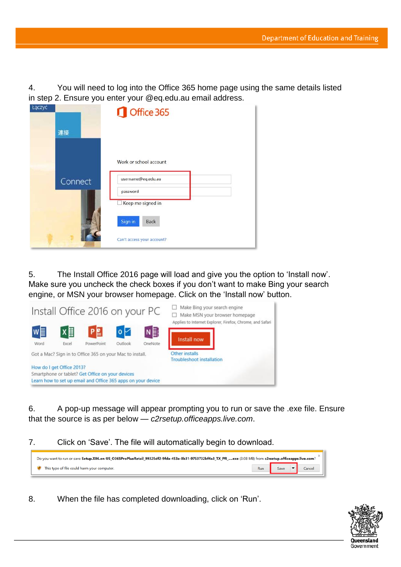4. You will need to log into the Office 365 home page using the same details listed in step 2. Ensure you enter your @eq.edu.au email address.

| Łączyć |         | Office 365                    |
|--------|---------|-------------------------------|
|        | 連接      |                               |
|        |         | Work or school account        |
|        | Connect | username@eq.edu.au            |
|        |         | password<br>Keep me signed in |
|        |         | Sign in<br>Back               |
|        |         | Can't access your account?    |

5. The Install Office 2016 page will load and give you the option to 'Install now'. Make sure you uncheck the check boxes if you don't want to make Bing your search engine, or MSN your browser homepage. Click on the 'Install now' button.



6. A pop-up message will appear prompting you to run or save the .exe file. Ensure that the source is as per below — *c2rsetup.officeapps.live.com*.

7. Click on 'Save'. The file will automatically begin to download.

| Do you want to run or save Setup.X86.en-US 0365ProPlusRetail 99325df2-9fda-453a-8b31-9753732bf4a3 TX PR exe (3.08 MB) from c2rsetup.officeapps.live.com? |     |        |  |        |
|----------------------------------------------------------------------------------------------------------------------------------------------------------|-----|--------|--|--------|
| This type of file could harm your computer.                                                                                                              | Run | Save 1 |  | Cancel |

8. When the file has completed downloading, click on 'Run'.

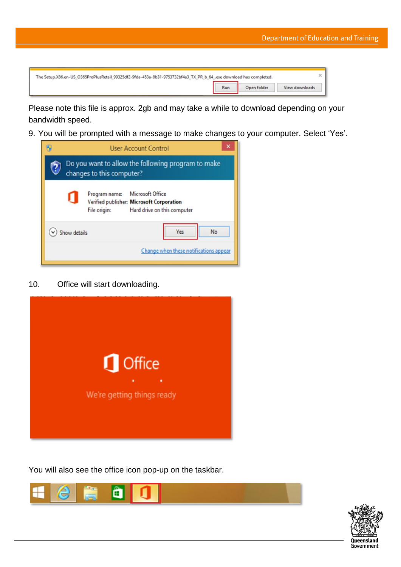| The Setup.X86.en-US_O365ProPlusRetail_99325df2-9fda-453a-8b31-9753732bf4a3_TX_PR_b_64_.exe download has completed. |     |             |                |  |  |
|--------------------------------------------------------------------------------------------------------------------|-----|-------------|----------------|--|--|
|                                                                                                                    | Run | Open folder | View downloads |  |  |

Please note this file is approx. 2gb and may take a while to download depending on your bandwidth speed.

9. You will be prompted with a message to make changes to your computer. Select 'Yes'.



10. Office will start downloading.



You will also see the office icon pop-up on the taskbar.



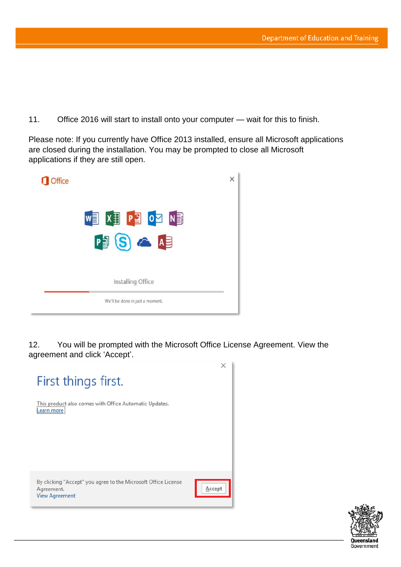11. Office 2016 will start to install onto your computer — wait for this to finish.

Please note: If you currently have Office 2013 installed, ensure all Microsoft applications are closed during the installation. You may be prompted to close all Microsoft applications if they are still open.



12. You will be prompted with the Microsoft Office License Agreement. View the agreement and click 'Accept'.



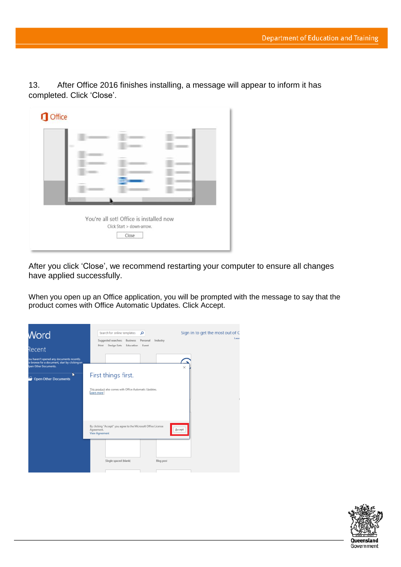13. After Office 2016 finishes installing, a message will appear to inform it has completed. Click 'Close'.

| × |                                         |                           |  |
|---|-----------------------------------------|---------------------------|--|
|   | You're all set! Office is installed now | Click Start > down-arrow. |  |

After you click 'Close', we recommend restarting your computer to ensure all changes have applied successfully.

When you open up an Office application, you will be prompted with the message to say that the product comes with Office Automatic Updates. Click Accept.

| <b>Word</b><br><sup>Recent</sup>                                                                                                                             | Sign in to get the most out of C<br>Search for online templates<br>م<br>Learn<br>Suggested searches:<br><b>Business</b><br>Personal<br>Industry |
|--------------------------------------------------------------------------------------------------------------------------------------------------------------|-------------------------------------------------------------------------------------------------------------------------------------------------|
|                                                                                                                                                              | Design Sets<br>Education<br>Event<br>Print                                                                                                      |
| ou haven't opened any documents recently.<br>o browse for a document, start by clicking on<br>Ipen Other Documents.<br>k<br>⋍<br><b>Open Other Documents</b> | ×<br>First things first.                                                                                                                        |
|                                                                                                                                                              | This product also comes with Office Automatic Updates.<br>Learn more                                                                            |
|                                                                                                                                                              | By clicking "Accept" you agree to the Microsoft Office License<br>Agreement.<br>Accept<br><b>View Agreement</b>                                 |
|                                                                                                                                                              | Single spaced (blank)<br><b>Blog post</b>                                                                                                       |

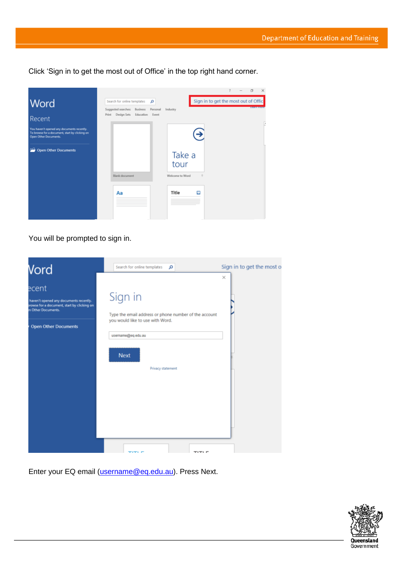Click 'Sign in to get the most out of Office' in the top right hand corner.



You will be prompted to sign in.

| Vord                                                                                                                                                 | Search for online templates<br>م                                                                                                                               | Sign in to get the most<br>$\times$ |
|------------------------------------------------------------------------------------------------------------------------------------------------------|----------------------------------------------------------------------------------------------------------------------------------------------------------------|-------------------------------------|
| ecent<br>haven't opened any documents recently.<br>prowse for a document, start by clicking on<br>in Other Documents.<br><b>Open Other Documents</b> | Sign in<br>Type the email address or phone number of the account<br>you would like to use with Word.<br>username@eq.edu.au<br><b>Next</b><br>Privacy statement |                                     |
|                                                                                                                                                      | ם ודוד                                                                                                                                                         |                                     |

Enter your EQ email (*username@eq.edu.au*). Press Next.

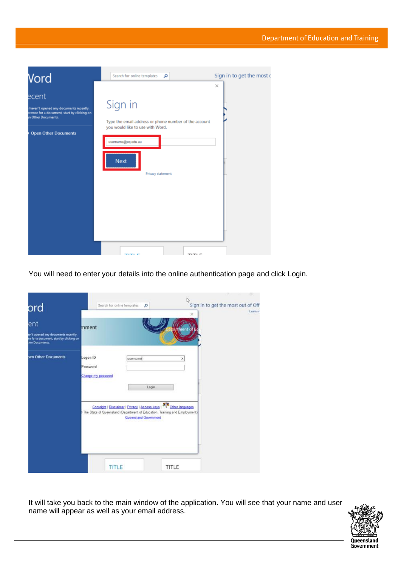

You will need to enter your details into the online authentication page and click Login.

| ord                                                                                                     |                                            | Search for online templates<br>ø                                                                                                                                                                                                              | IJ<br>$\times$ | ÷<br>Sign in to get the most out of Off | n.<br>Learn m |
|---------------------------------------------------------------------------------------------------------|--------------------------------------------|-----------------------------------------------------------------------------------------------------------------------------------------------------------------------------------------------------------------------------------------------|----------------|-----------------------------------------|---------------|
| ent<br>en't opened any documents recently.<br>se for a document, start by clicking on<br>her Documents. | mment                                      |                                                                                                                                                                                                                                               | man            |                                         |               |
| sen Other Documents                                                                                     | Logon ID<br>Password<br>Change my password | username<br>Login<br>Copyright   Disclaimer   Privacy   Access keys   $\mathcal{B}_{\sqrt{\mathcal{N}}}^{\mathcal{R}}$ Other languages<br>The State of Queensland (Department of Education, Training and Employment)<br>Queensland Government | ×              |                                         |               |
|                                                                                                         | TITLE                                      |                                                                                                                                                                                                                                               | <b>TITLE</b>   |                                         |               |

It will take you back to the main window of the application. You will see that your name and user name will appear as well as your email address.